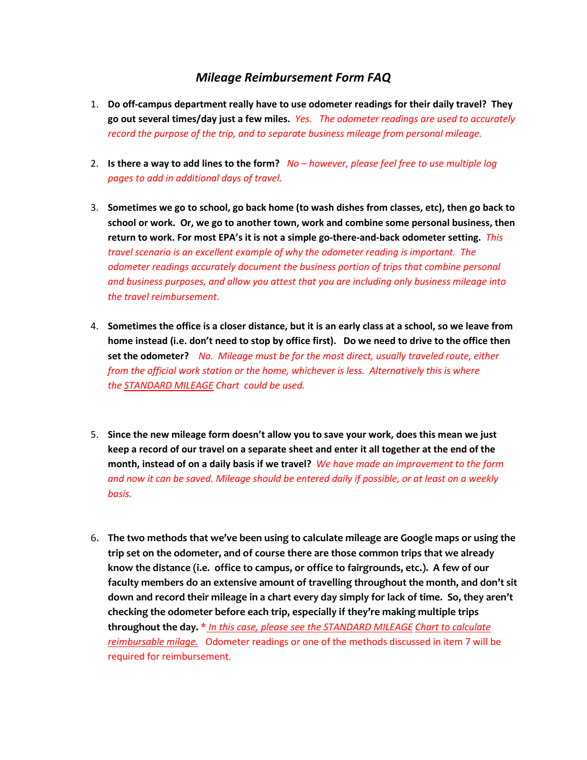## *Mileage Reimbursement Form FAQ*

- 1. **Do off-campus department really have to use odometer readings for their daily travel? They go out several times/day just a few miles.** *Yes. The odometer readings are used to accurately record the purpose of the trip, and to separate business mileage from personal mileage.*
- 2. **Is there a way to add lines to the form?** *No – however, please feel free to use multiple log pages to add in additional days of travel.*
- 3. **Sometimes we go to school, go back home (to wash dishes from classes, etc), then go back to school or work. Or, we go to another town, work and combine some personal business, then return to work. For most EPA's it is not a simple go-there-and-back odometer setting.** *This travel scenario is an excellent example of why the odometer reading is important. The odometer readings accurately document the business portion of trips that combine personal and business purposes, and allow you attest that you are including only business mileage into the travel reimbursement*.
- 4. **Sometimes the office is a closer distance, but it is an early class at a school, so we leave from home instead (i.e. don't need to stop by office first). Do we need to drive to the office then set the odometer?** *No. Mileage must be for the most direct, usually traveled route, either from the official work station or the home, whichever is less. Alternatively this is where the STANDARD MILEAGE Chart could be used.*
- 5. **Since the new mileage form doesn't allow you to save your work, does this mean we just keep a record of our travel on a separate sheet and enter it all together at the end of the month, instead of on a daily basis if we travel?** *We have made an improvement to the form and now it can be saved. Mileage should be entered daily if possible, or at least on a weekly basis.*
- 6. **The two methods that we've been using to calculate mileage are Google maps or using the trip set on the odometer, and of course there are those common trips that we already know the distance (i.e. office to campus, or office to fairgrounds, etc.). A few of our faculty members do an extensive amount of travelling throughout the month, and don't sit down and record their mileage in a chart every day simply for lack of time. So, they aren't checking the odometer before each trip, especially if they're making multiple trips throughout the day.** \* *In this case, please see the STANDARD MILEAGE Chart to calculate reimbursable milage.* Odometer readings or one of the methods discussed in item 7 will be required for reimbursement.